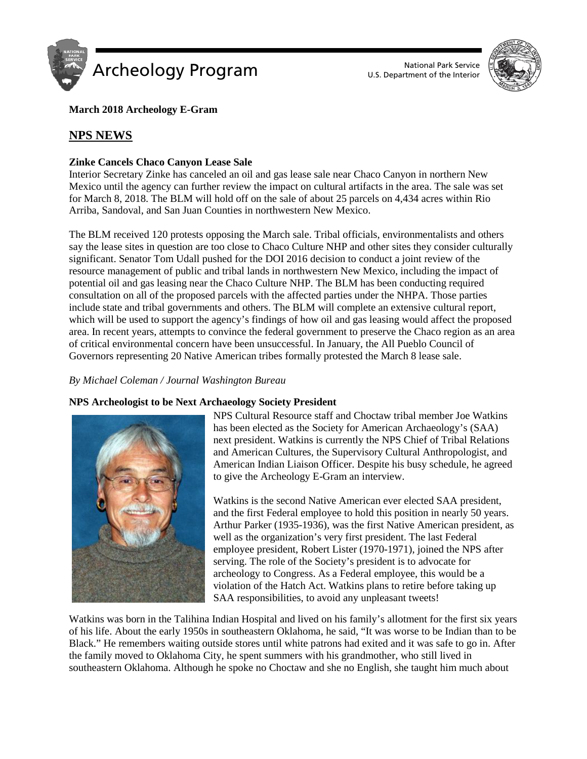

U.S. Department of the Interior



**March 2018 Archeology E-Gram**

# **NPS NEWS**

## **Zinke Cancels Chaco Canyon Lease Sale**

Interior Secretary Zinke has canceled an oil and gas lease sale near Chaco Canyon in northern New Mexico until the agency can further review the impact on cultural artifacts in the area. The sale was set for March 8, 2018. The BLM will hold off on the sale of about 25 parcels on 4,434 acres within Rio Arriba, Sandoval, and San Juan Counties in northwestern New Mexico.

The BLM received 120 protests opposing the March sale. Tribal officials, environmentalists and others say the lease sites in question are too close to Chaco Culture NHP and other sites they consider culturally significant. Senator Tom Udall pushed for the DOI 2016 decision to conduct a joint review of the resource management of public and tribal lands in northwestern New Mexico, including the impact of potential oil and gas leasing near the Chaco Culture NHP. The BLM has been conducting required consultation on all of the proposed parcels with the affected parties under the NHPA. Those parties include state and tribal governments and others. The BLM will complete an extensive cultural report, which will be used to support the agency's findings of how oil and gas leasing would affect the proposed area. In recent years, attempts to convince the federal government to preserve the Chaco region as an area of critical environmental concern have been unsuccessful. In January, the All Pueblo Council of Governors representing 20 Native American tribes formally protested the March 8 lease sale.

## *By Michael Coleman / Journal Washington Bureau*

### **NPS Archeologist to be Next Archaeology Society President**



NPS Cultural Resource staff and Choctaw tribal member Joe Watkins has been elected as the Society for American Archaeology's (SAA) next president. Watkins is currently the NPS Chief of Tribal Relations and American Cultures, the Supervisory Cultural Anthropologist, and American Indian Liaison Officer. Despite his busy schedule, he agreed to give the Archeology E-Gram an interview.

Watkins is the second Native American ever elected SAA president, and the first Federal employee to hold this position in nearly 50 years. Arthur Parker (1935-1936), was the first Native American president, as well as the organization's very first president. The last Federal employee president, Robert Lister (1970-1971), joined the NPS after serving. The role of the Society's president is to advocate for archeology to Congress. As a Federal employee, this would be a violation of the Hatch Act. Watkins plans to retire before taking up SAA responsibilities, to avoid any unpleasant tweets!

Watkins was born in the Talihina Indian Hospital and lived on his family's allotment for the first six years of his life. About the early 1950s in southeastern Oklahoma, he said, "It was worse to be Indian than to be Black." He remembers waiting outside stores until white patrons had exited and it was safe to go in. After the family moved to Oklahoma City, he spent summers with his grandmother, who still lived in southeastern Oklahoma. Although he spoke no Choctaw and she no English, she taught him much about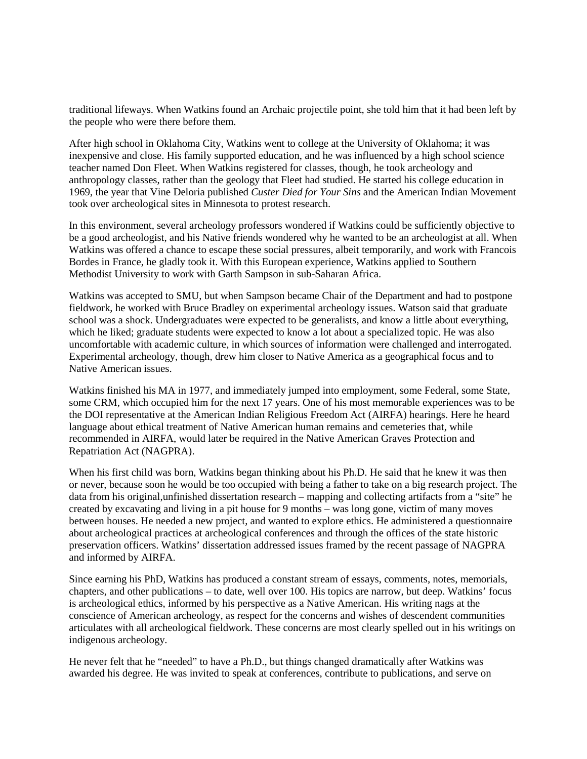traditional lifeways. When Watkins found an Archaic projectile point, she told him that it had been left by the people who were there before them.

After high school in Oklahoma City, Watkins went to college at the University of Oklahoma; it was inexpensive and close. His family supported education, and he was influenced by a high school science teacher named Don Fleet. When Watkins registered for classes, though, he took archeology and anthropology classes, rather than the geology that Fleet had studied. He started his college education in 1969, the year that Vine Deloria published *Custer Died for Your Sins* and the American Indian Movement took over archeological sites in Minnesota to protest research.

In this environment, several archeology professors wondered if Watkins could be sufficiently objective to be a good archeologist, and his Native friends wondered why he wanted to be an archeologist at all. When Watkins was offered a chance to escape these social pressures, albeit temporarily, and work with Francois Bordes in France, he gladly took it. With this European experience, Watkins applied to Southern Methodist University to work with Garth Sampson in sub-Saharan Africa.

Watkins was accepted to SMU, but when Sampson became Chair of the Department and had to postpone fieldwork, he worked with Bruce Bradley on experimental archeology issues. Watson said that graduate school was a shock. Undergraduates were expected to be generalists, and know a little about everything, which he liked; graduate students were expected to know a lot about a specialized topic. He was also uncomfortable with academic culture, in which sources of information were challenged and interrogated. Experimental archeology, though, drew him closer to Native America as a geographical focus and to Native American issues.

Watkins finished his MA in 1977, and immediately jumped into employment, some Federal, some State, some CRM, which occupied him for the next 17 years. One of his most memorable experiences was to be the DOI representative at the American Indian Religious Freedom Act (AIRFA) hearings. Here he heard language about ethical treatment of Native American human remains and cemeteries that, while recommended in AIRFA, would later be required in the Native American Graves Protection and Repatriation Act (NAGPRA).

When his first child was born, Watkins began thinking about his Ph.D. He said that he knew it was then or never, because soon he would be too occupied with being a father to take on a big research project. The data from his original,unfinished dissertation research – mapping and collecting artifacts from a "site" he created by excavating and living in a pit house for 9 months – was long gone, victim of many moves between houses. He needed a new project, and wanted to explore ethics. He administered a questionnaire about archeological practices at archeological conferences and through the offices of the state historic preservation officers. Watkins' dissertation addressed issues framed by the recent passage of NAGPRA and informed by AIRFA.

Since earning his PhD, Watkins has produced a constant stream of essays, comments, notes, memorials, chapters, and other publications – to date, well over 100. His topics are narrow, but deep. Watkins' focus is archeological ethics, informed by his perspective as a Native American. His writing nags at the conscience of American archeology, as respect for the concerns and wishes of descendent communities articulates with all archeological fieldwork. These concerns are most clearly spelled out in his writings on indigenous archeology.

He never felt that he "needed" to have a Ph.D., but things changed dramatically after Watkins was awarded his degree. He was invited to speak at conferences, contribute to publications, and serve on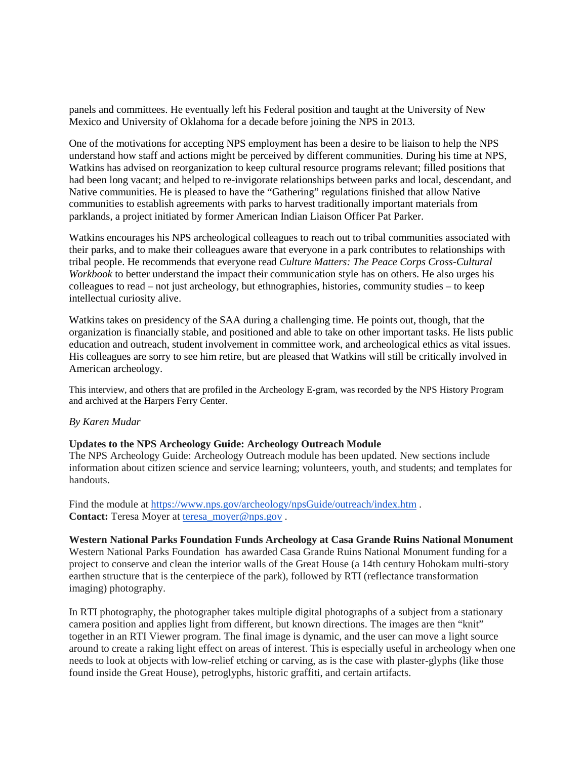panels and committees. He eventually left his Federal position and taught at the University of New Mexico and University of Oklahoma for a decade before joining the NPS in 2013.

One of the motivations for accepting NPS employment has been a desire to be liaison to help the NPS understand how staff and actions might be perceived by different communities. During his time at NPS, Watkins has advised on reorganization to keep cultural resource programs relevant; filled positions that had been long vacant; and helped to re-invigorate relationships between parks and local, descendant, and Native communities. He is pleased to have the "Gathering" regulations finished that allow Native communities to establish agreements with parks to harvest traditionally important materials from parklands, a project initiated by former American Indian Liaison Officer Pat Parker.

Watkins encourages his NPS archeological colleagues to reach out to tribal communities associated with their parks, and to make their colleagues aware that everyone in a park contributes to relationships with tribal people. He recommends that everyone read *Culture Matters: The Peace Corps Cross-Cultural Workbook* to better understand the impact their communication style has on others. He also urges his colleagues to read – not just archeology, but ethnographies, histories, community studies – to keep intellectual curiosity alive.

Watkins takes on presidency of the SAA during a challenging time. He points out, though, that the organization is financially stable, and positioned and able to take on other important tasks. He lists public education and outreach, student involvement in committee work, and archeological ethics as vital issues. His colleagues are sorry to see him retire, but are pleased that Watkins will still be critically involved in American archeology.

This interview, and others that are profiled in the Archeology E-gram, was recorded by the NPS History Program and archived at the Harpers Ferry Center.

#### *By Karen Mudar*

#### **Updates to the NPS Archeology Guide: Archeology Outreach Module**

The NPS Archeology Guide: Archeology Outreach module has been updated. New sections include information about citizen science and service learning; volunteers, youth, and students; and templates for handouts.

Find the module at <https://www.nps.gov/archeology/npsGuide/outreach/index.htm>. **Contact:** Teresa Moyer at teresa moyer@nps.gov.

**Western National Parks Foundation Funds Archeology at Casa Grande Ruins National Monument** Western National Parks Foundation has awarded Casa Grande Ruins National Monument funding for a project to conserve and clean the interior walls of the Great House (a 14th century Hohokam multi-story earthen structure that is the centerpiece of the park), followed by RTI (reflectance transformation imaging) photography.

In RTI photography, the photographer takes multiple digital photographs of a subject from a stationary camera position and applies light from different, but known directions. The images are then "knit" together in an RTI Viewer program. The final image is dynamic, and the user can move a light source around to create a raking light effect on areas of interest. This is especially useful in archeology when one needs to look at objects with low-relief etching or carving, as is the case with plaster-glyphs (like those found inside the Great House), petroglyphs, historic graffiti, and certain artifacts.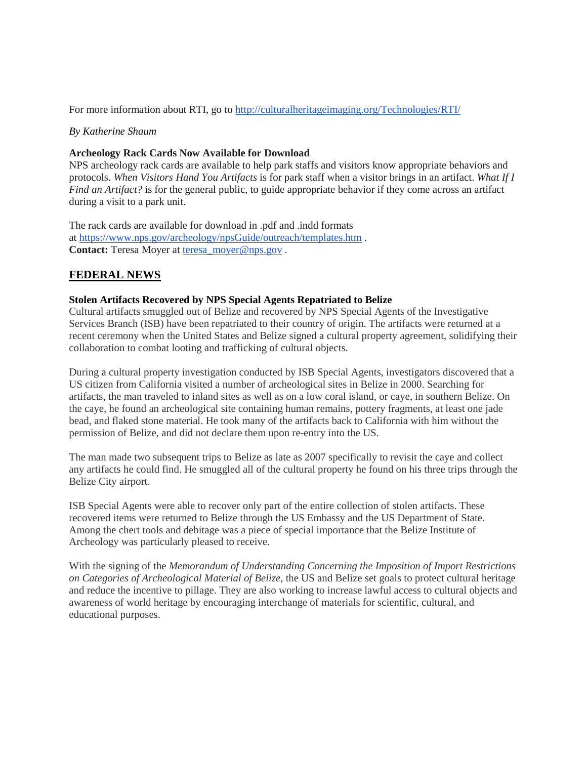For more information about RTI, go to <http://culturalheritageimaging.org/Technologies/RTI/>

#### *By Katherine Shaum*

#### **Archeology Rack Cards Now Available for Download**

NPS archeology rack cards are available to help park staffs and visitors know appropriate behaviors and protocols. *When Visitors Hand You Artifacts* is for park staff when a visitor brings in an artifact. *What If I Find an Artifact?* is for the general public, to guide appropriate behavior if they come across an artifact during a visit to a park unit.

The rack cards are available for download in .pdf and .indd formats at <https://www.nps.gov/archeology/npsGuide/outreach/templates.htm> . **Contact:** Teresa Moyer at [teresa\\_moyer@nps.gov](mailto:teresa_moyer@nps.gov) .

## **FEDERAL NEWS**

### **Stolen Artifacts Recovered by NPS Special Agents Repatriated to Belize**

Cultural artifacts smuggled out of Belize and recovered by NPS Special Agents of the Investigative Services Branch (ISB) have been repatriated to their country of origin. The artifacts were returned at a recent ceremony when the United States and Belize signed a cultural property agreement, solidifying their collaboration to combat looting and trafficking of cultural objects.

During a cultural property investigation conducted by ISB Special Agents, investigators discovered that a US citizen from California visited a number of archeological sites in Belize in 2000. Searching for artifacts, the man traveled to inland sites as well as on a low coral island, or caye, in southern Belize. On the caye, he found an archeological site containing human remains, pottery fragments, at least one jade bead, and flaked stone material. He took many of the artifacts back to California with him without the permission of Belize, and did not declare them upon re-entry into the US.

The man made two subsequent trips to Belize as late as 2007 specifically to revisit the caye and collect any artifacts he could find. He smuggled all of the cultural property he found on his three trips through the Belize City airport.

ISB Special Agents were able to recover only part of the entire collection of stolen artifacts. These recovered items were returned to Belize through the US Embassy and the US Department of State. Among the chert tools and debitage was a piece of special importance that the Belize Institute of Archeology was particularly pleased to receive.

With the signing of the *Memorandum of Understanding Concerning the Imposition of Import Restrictions on Categories of Archeological Material of Belize*, the US and Belize set goals to protect cultural heritage and reduce the incentive to pillage. They are also working to increase lawful access to cultural objects and awareness of world heritage by encouraging interchange of materials for scientific, cultural, and educational purposes.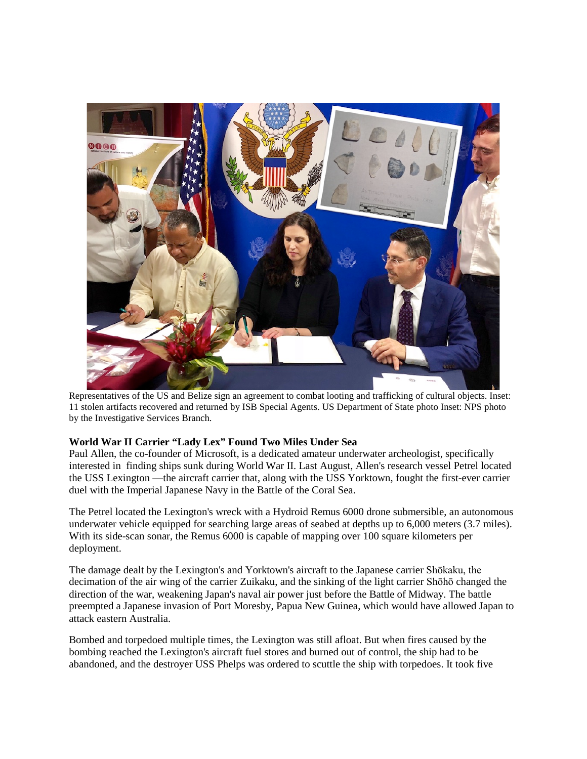

Representatives of the US and Belize sign an agreement to combat looting and trafficking of cultural objects. Inset: 11 stolen artifacts recovered and returned by ISB Special Agents. US Department of State photo Inset: NPS photo by the Investigative Services Branch.

### **World War II Carrier "Lady Lex" Found Two Miles Under Sea**

Paul Allen, the co-founder of Microsoft, is a dedicated amateur underwater archeologist, specifically interested in finding ships sunk during World War II. Last August, Allen's research vessel Petrel located the USS Lexington —the aircraft carrier that, along with the USS Yorktown, fought the first-ever carrier duel with the Imperial Japanese Navy in the Battle of the Coral Sea.

The Petrel located the Lexington's wreck with a Hydroid Remus 6000 drone submersible, an autonomous underwater vehicle equipped for searching large areas of seabed at depths up to 6,000 meters (3.7 miles). With its side-scan sonar, the Remus 6000 is capable of mapping over 100 square kilometers per deployment.

The damage dealt by the Lexington's and Yorktown's aircraft to the Japanese carrier Shōkaku, the decimation of the air wing of the carrier Zuikaku, and the sinking of the light carrier Shōhō changed the direction of the war, weakening Japan's naval air power just before the Battle of Midway. The battle preempted a Japanese invasion of Port Moresby, Papua New Guinea, which would have allowed Japan to attack eastern Australia.

Bombed and torpedoed multiple times, the Lexington was still afloat. But when fires caused by the bombing reached the Lexington's aircraft fuel stores and burned out of control, the ship had to be abandoned, and the destroyer USS Phelps was ordered to scuttle the ship with torpedoes. It took five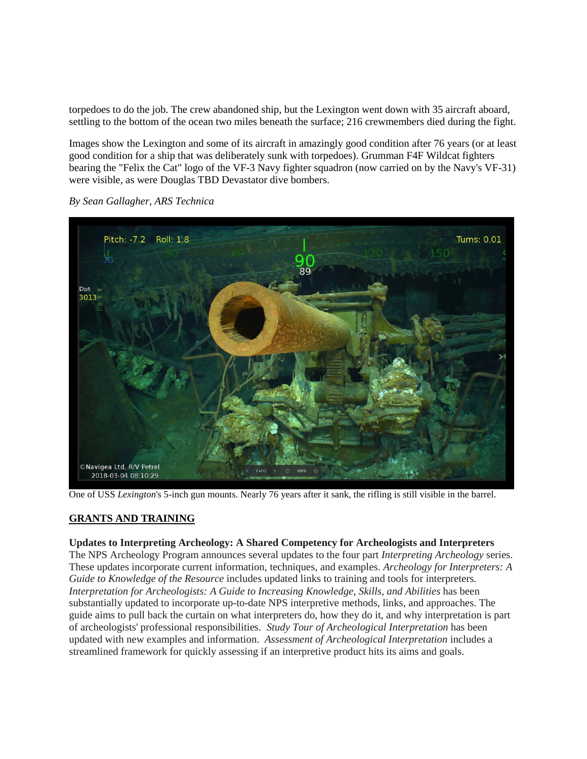torpedoes to do the job. The crew abandoned ship, but the Lexington went down with 35 aircraft aboard, settling to the bottom of the ocean two miles beneath the surface; 216 crewmembers died during the fight.

Images show the Lexington and some of its aircraft in amazingly good condition after 76 years (or at least good condition for a ship that was deliberately sunk with torpedoes). Grumman F4F Wildcat fighters bearing the "Felix the Cat" logo of the VF-3 Navy fighter squadron (now carried on by the Navy's VF-31) were visible, as were Douglas TBD Devastator dive bombers.



*By Sean Gallagher, ARS Technica*

One of USS *Lexington*'s 5-inch gun mounts. Nearly 76 years after it sank, the rifling is still visible in the barrel.

### **GRANTS AND TRAINING**

#### **Updates to Interpreting Archeology: A Shared Competency for Archeologists and Interpreters**

The NPS Archeology Program announces several updates to the four part *Interpreting Archeology* series. These updates incorporate current information, techniques, and examples. *Archeology for Interpreters: A Guide to Knowledge of the Resource* includes updated links to training and tools for interpreters*. Interpretation for Archeologists: A Guide to Increasing Knowledge, Skills, and Abilities* has been substantially updated to incorporate up-to-date NPS interpretive methods, links, and approaches. The guide aims to pull back the curtain on what interpreters do, how they do it, and why interpretation is part of archeologists' professional responsibilities. *Study Tour of Archeological Interpretation* has been updated with new examples and information. *Assessment of Archeological Interpretation* includes a streamlined framework for quickly assessing if an interpretive product hits its aims and goals.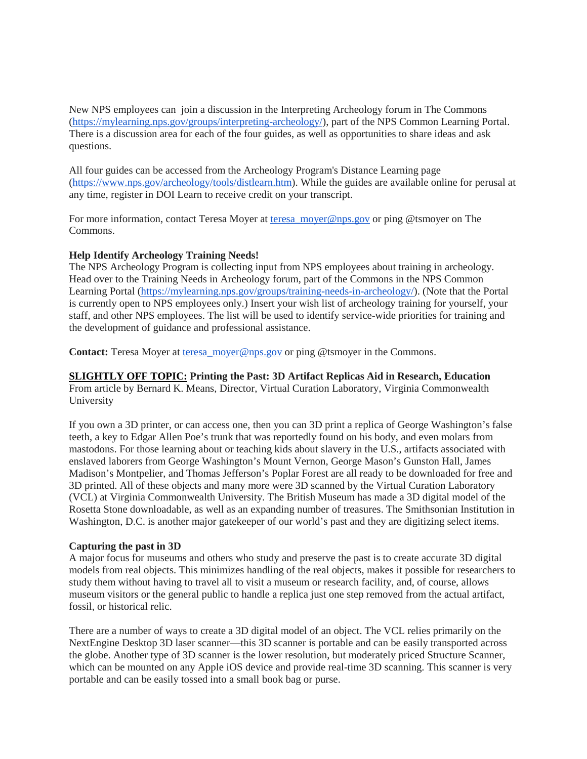New NPS employees can join a discussion in the Interpreting Archeology forum in The Commons [\(https://mylearning.nps.gov/groups/interpreting-archeology/\)](https://mylearning.nps.gov/groups/interpreting-archeology/), part of the NPS Common Learning Portal. There is a discussion area for each of the four guides, as well as opportunities to share ideas and ask questions.

All four guides can be accessed from the Archeology Program's Distance Learning page [\(https://www.nps.gov/archeology/tools/distlearn.htm\)](https://www.nps.gov/archeology/tools/distlearn.htm). While the guides are available online for perusal at any time, register in DOI Learn to receive credit on your transcript.

For more information, contact Teresa Moyer at teresa moyer@nps.gov or ping @tsmoyer on The Commons.

#### **Help Identify Archeology Training Needs!**

The NPS Archeology Program is collecting input from NPS employees about training in archeology. Head over to the Training Needs in Archeology forum, part of the Commons in the NPS Common Learning Portal [\(https://mylearning.nps.gov/groups/training-needs-in-archeology/\)](https://mylearning.nps.gov/groups/training-needs-in-archeology/). (Note that the Portal is currently open to NPS employees only.) Insert your wish list of archeology training for yourself, your staff, and other NPS employees. The list will be used to identify service-wide priorities for training and the development of guidance and professional assistance.

**Contact:** Teresa Moyer at [teresa\\_moyer@nps.gov](mailto:teresa_moyer@nps.gov) or ping @tsmoyer in the Commons.

#### **SLIGHTLY OFF TOPIC: Printing the Past: 3D Artifact Replicas Aid in Research, Education**

From article by Bernard K. Means, Director, Virtual Curation Laboratory, Virginia Commonwealth University

If you own a 3D printer, or can access one, then you can 3D print a replica of George Washington's false teeth, a key to Edgar Allen Poe's trunk that was reportedly found on his body, and even molars from mastodons. For those learning about or teaching kids about slavery in the U.S., artifacts associated with enslaved laborers from George Washington's Mount Vernon, George Mason's Gunston Hall, James Madison's Montpelier, and Thomas Jefferson's Poplar Forest are all ready to be downloaded for free and 3D printed. All of these objects and many more were 3D scanned by the Virtual Curation Laboratory (VCL) at Virginia Commonwealth University. The British Museum has made a 3D digital model of the Rosetta Stone downloadable, as well as an expanding number of treasures. The Smithsonian Institution in Washington, D.C. is another major gatekeeper of our world's past and they are digitizing select items.

#### **Capturing the past in 3D**

A major focus for museums and others who study and preserve the past is to create accurate 3D digital models from real objects. This minimizes handling of the real objects, makes it possible for researchers to study them without having to travel all to visit a museum or research facility, and, of course, allows museum visitors or the general public to handle a replica just one step removed from the actual artifact, fossil, or historical relic.

There are a number of ways to create a 3D digital model of an object. The VCL relies primarily on the NextEngine Desktop 3D laser scanner—this 3D scanner is portable and can be easily transported across the globe. Another type of 3D scanner is the lower resolution, but moderately priced Structure Scanner, which can be mounted on any Apple iOS device and provide real-time 3D scanning. This scanner is very portable and can be easily tossed into a small book bag or purse.